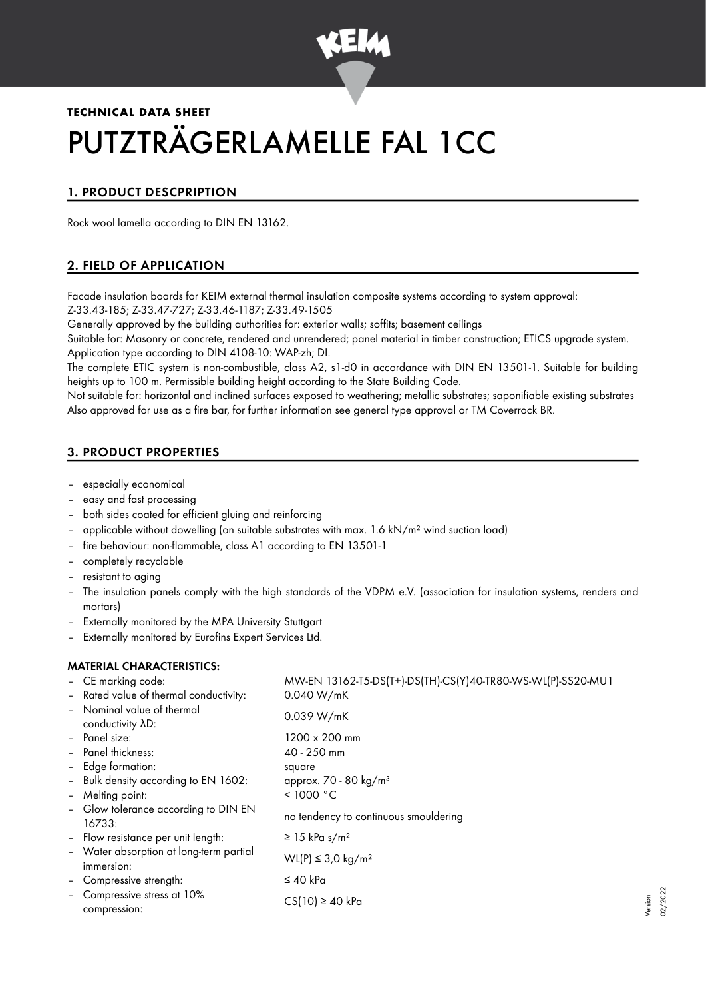

# **TECHNICAL DATA SHEET** PUTZTRÄGERLAMELLE FAL 1CC

# 1. PRODUCT DESCPRIPTION

Rock wool lamella according to DIN EN 13162.

# 2. FIELD OF APPLICATION

Facade insulation boards for KEIM external thermal insulation composite systems according to system approval: Z-33.43-185; Z-33.47-727; Z-33.46-1187; Z-33.49-1505

Generally approved by the building authorities for: exterior walls; soffits; basement ceilings

Suitable for: Masonry or concrete, rendered and unrendered; panel material in timber construction; ETICS upgrade system. Application type according to DIN 4108-10: WAP-zh; DI.

The complete ETIC system is non-combustible, class A2, s1-d0 in accordance with DIN EN 13501-1. Suitable for building heights up to 100 m. Permissible building height according to the State Building Code.

Not suitable for: horizontal and inclined surfaces exposed to weathering; metallic substrates; saponifiable existing substrates Also approved for use as a fire bar, for further information see general type approval or TM Coverrock BR.

# 3. PRODUCT PROPERTIES

- especially economical
- easy and fast processing
- both sides coated for efficient gluing and reinforcing
- applicable without dowelling (on suitable substrates with max.  $1.6$  kN/m<sup>2</sup> wind suction load)
- fire behaviour: non-flammable, class A1 according to EN 13501-1
- completely recyclable
- resistant to aging
- The insulation panels comply with the high standards of the VDPM e.V. (association for insulation systems, renders and mortars)
- Externally monitored by the MPA University Stuttgart
- Externally monitored by Eurofins Expert Services Ltd.

# MATERIAL CHARACTERISTICS:

|                          | - CE marking code:                                    | MW-EN 13162-T5-DS(T+)-DS(TH)-CS(Y)40-TR80-WS-WL(P)-SS20-MU1 |
|--------------------------|-------------------------------------------------------|-------------------------------------------------------------|
|                          | - Rated value of thermal conductivity:                | 0.040 W/mK                                                  |
|                          | - Nominal value of thermal<br>conductivity AD:        | 0.039 W/mK                                                  |
|                          | - Panel size:                                         | $1200 \times 200$ mm                                        |
|                          | - Panel thickness:                                    | 40 - 250 mm                                                 |
|                          | - Edge formation:                                     | square                                                      |
|                          | - Bulk density according to EN 1602:                  | approx. 70 - 80 kg/m <sup>3</sup>                           |
| $\overline{\phantom{a}}$ | Melting point:                                        | < 1000 °C                                                   |
|                          | - Glow tolerance according to DIN EN<br>16733:        | no tendency to continuous smouldering                       |
|                          | - Flow resistance per unit length:                    | $\geq$ 15 kPa s/m <sup>2</sup>                              |
|                          | - Water absorption at long-term partial<br>immersion: | WL(P) ≤ 3.0 kg/m <sup>2</sup>                               |
|                          | - Compressive strength:                               | $\leq 40$ kPa                                               |
| $\qquad \qquad -$        | Compressive stress at 10%<br>compression:             | $CS(10) \ge 40$ kPa                                         |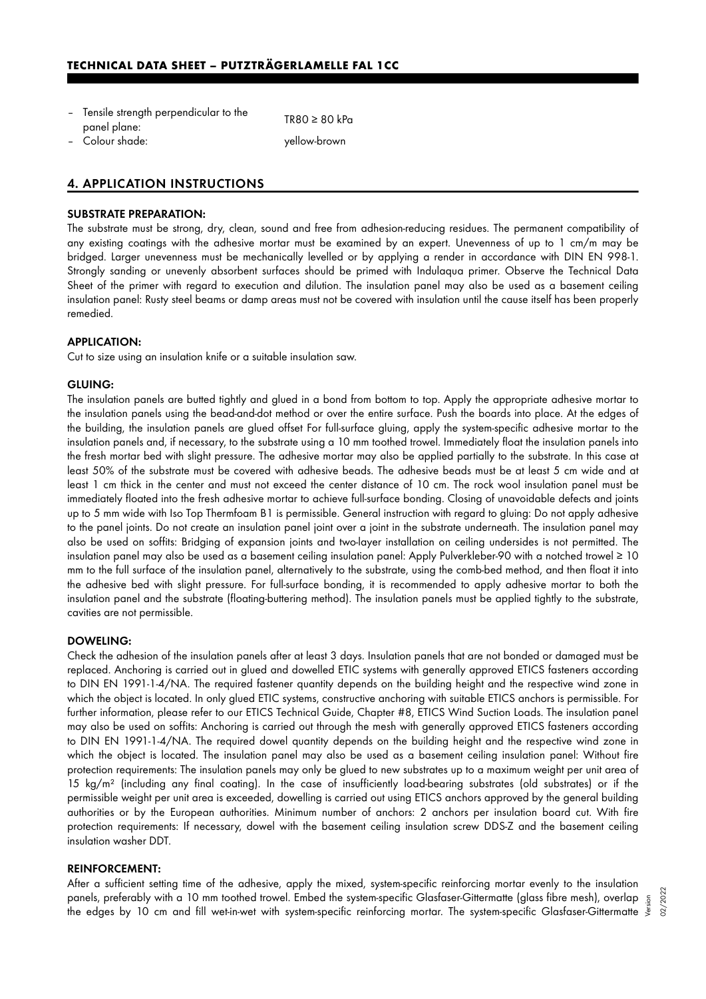| - Tensile strength perpendicular to the | $TR80 \geq 80$ kPa |
|-----------------------------------------|--------------------|
| panel plane:                            |                    |
| نمامسام عبيماء ك                        | وسيحصط يبيدا المن  |

– Colour shade: yellow-brown

## 4. APPLICATION INSTRUCTIONS

#### SUBSTRATE PREPARATION:

The substrate must be strong, dry, clean, sound and free from adhesion-reducing residues. The permanent compatibility of any existing coatings with the adhesive mortar must be examined by an expert. Unevenness of up to 1 cm/m may be bridged. Larger unevenness must be mechanically levelled or by applying a render in accordance with DIN EN 998-1. Strongly sanding or unevenly absorbent surfaces should be primed with Indulaqua primer. Observe the Technical Data Sheet of the primer with regard to execution and dilution. The insulation panel may also be used as a basement ceiling insulation panel: Rusty steel beams or damp areas must not be covered with insulation until the cause itself has been properly remedied.

#### APPLICATION:

Cut to size using an insulation knife or a suitable insulation saw.

#### GLUING:

The insulation panels are butted tightly and glued in a bond from bottom to top. Apply the appropriate adhesive mortar to the insulation panels using the bead-and-dot method or over the entire surface. Push the boards into place. At the edges of the building, the insulation panels are glued offset For full-surface gluing, apply the system-specific adhesive mortar to the insulation panels and, if necessary, to the substrate using a 10 mm toothed trowel. Immediately float the insulation panels into the fresh mortar bed with slight pressure. The adhesive mortar may also be applied partially to the substrate. In this case at least 50% of the substrate must be covered with adhesive beads. The adhesive beads must be at least 5 cm wide and at least 1 cm thick in the center and must not exceed the center distance of 10 cm. The rock wool insulation panel must be immediately floated into the fresh adhesive mortar to achieve full-surface bonding. Closing of unavoidable defects and joints up to 5 mm wide with Iso Top Thermfoam B1 is permissible. General instruction with regard to gluing: Do not apply adhesive to the panel joints. Do not create an insulation panel joint over a joint in the substrate underneath. The insulation panel may also be used on soffits: Bridging of expansion joints and two-layer installation on ceiling undersides is not permitted. The insulation panel may also be used as a basement ceiling insulation panel: Apply Pulverkleber-90 with a notched trowel ≥ 10 mm to the full surface of the insulation panel, alternatively to the substrate, using the comb-bed method, and then float it into the adhesive bed with slight pressure. For full-surface bonding, it is recommended to apply adhesive mortar to both the insulation panel and the substrate (floating-buttering method). The insulation panels must be applied tightly to the substrate, cavities are not permissible.

#### DOWELING:

Check the adhesion of the insulation panels after at least 3 days. Insulation panels that are not bonded or damaged must be replaced. Anchoring is carried out in glued and dowelled ETIC systems with generally approved ETICS fasteners according to DIN EN 1991-1-4/NA. The required fastener quantity depends on the building height and the respective wind zone in which the object is located. In only glued ETIC systems, constructive anchoring with suitable ETICS anchors is permissible. For further information, please refer to our ETICS Technical Guide, Chapter #8, ETICS Wind Suction Loads. The insulation panel may also be used on soffits: Anchoring is carried out through the mesh with generally approved ETICS fasteners according to DIN EN 1991-1-4/NA. The required dowel quantity depends on the building height and the respective wind zone in which the object is located. The insulation panel may also be used as a basement ceiling insulation panel: Without fire protection requirements: The insulation panels may only be glued to new substrates up to a maximum weight per unit area of 15 kg/m<sup>2</sup> (including any final coating). In the case of insufficiently load-bearing substrates (old substrates) or if the permissible weight per unit area is exceeded, dowelling is carried out using ETICS anchors approved by the general building authorities or by the European authorities. Minimum number of anchors: 2 anchors per insulation board cut. With fire protection requirements: If necessary, dowel with the basement ceiling insulation screw DDS-Z and the basement ceiling insulation washer DDT.

#### REINFORCEMENT:

After a sufficient setting time of the adhesive, apply the mixed, system-specific reinforcing mortar evenly to the insulation panels, preferably with a 10 mm toothed trowel. Embed the system-specific Glasfaser-Gittermatte (glass fibre mesh), overlap panels, preferably with a 10 mm toothed trowel. Embed the system-specific Glasfaser-Gittermatte (glass fibre mesh), overlap  $\frac{5}{3}$ <br>"Ine edges by 10 cm and fill wet-in-wet with system-specific reinforcing mortar. The sys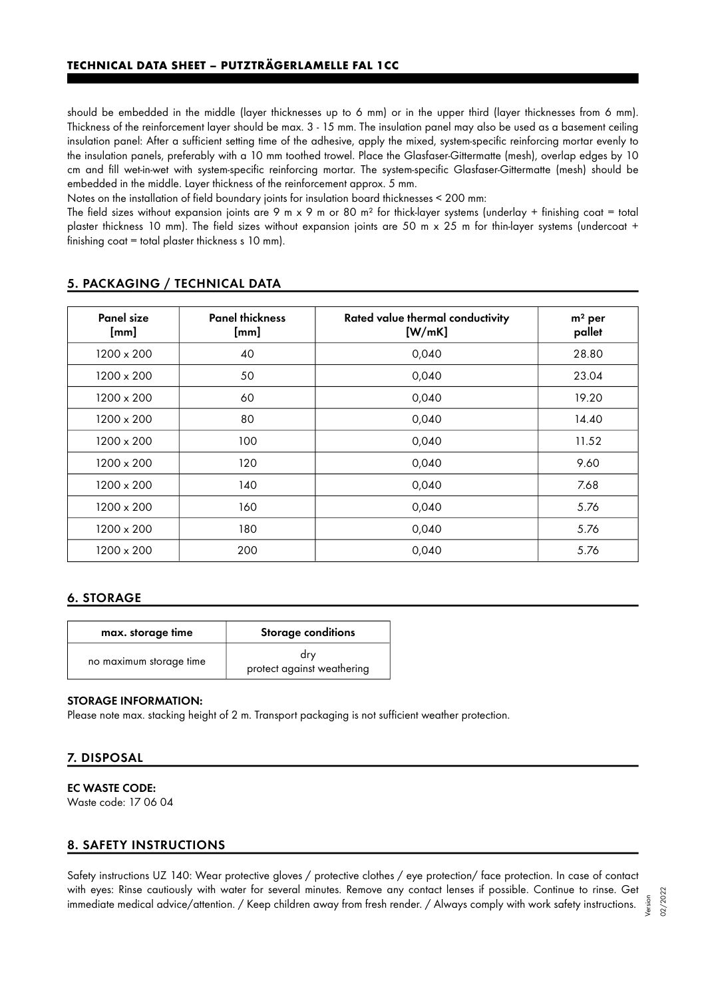should be embedded in the middle (layer thicknesses up to 6 mm) or in the upper third (layer thicknesses from 6 mm). Thickness of the reinforcement layer should be max. 3 - 15 mm. The insulation panel may also be used as a basement ceiling insulation panel: After a sufficient setting time of the adhesive, apply the mixed, system-specific reinforcing mortar evenly to the insulation panels, preferably with a 10 mm toothed trowel. Place the Glasfaser-Gittermatte (mesh), overlap edges by 10 cm and fill wet-in-wet with system-specific reinforcing mortar. The system-specific Glasfaser-Gittermatte (mesh) should be embedded in the middle. Layer thickness of the reinforcement approx. 5 mm.

Notes on the installation of field boundary joints for insulation board thicknesses < 200 mm:

The field sizes without expansion joints are 9 m x 9 m or 80 m<sup>2</sup> for thick-layer systems (underlay + finishing coat = total plaster thickness 10 mm). The field sizes without expansion joints are 50 m x 25 m for thin-layer systems (undercoat + finishing coat = total plaster thickness s 10 mm).

| Panel size<br>[mm] | <b>Panel thickness</b><br>[mm] | Rated value thermal conductivity<br>[W/mK] | $m2$ per<br>pallet |
|--------------------|--------------------------------|--------------------------------------------|--------------------|
| 1200 x 200         | 40                             | 0,040                                      | 28.80              |
| 1200 x 200         | 50                             | 0,040                                      | 23.04              |
| 1200 x 200         | 60                             | 0,040                                      | 19.20              |
| 1200 x 200         | 80                             | 0,040                                      | 14.40              |
| 1200 x 200         | 100                            | 0,040                                      | 11.52              |
| 1200 x 200         | 120                            | 0,040                                      | 9.60               |
| 1200 x 200         | 140                            | 0,040                                      | 7.68               |
| 1200 x 200         | 160                            | 0,040                                      | 5.76               |
| 1200 x 200         | 180                            | 0,040                                      | 5.76               |
| 1200 x 200         | 200                            | 0,040                                      | 5.76               |

## 5. PACKAGING / TECHNICAL DATA

# 6. STORAGE

| max. storage time       | Storage conditions                |
|-------------------------|-----------------------------------|
| no maximum storage time | drv<br>protect against weathering |

#### STORAGE INFORMATION:

Please note max. stacking height of 2 m. Transport packaging is not sufficient weather protection.

## 7. DISPOSAL

EC WASTE CODE: Waste code: 17 06 04

## 8. SAFETY INSTRUCTIONS

Safety instructions UZ 140: Wear protective gloves / protective clothes / eye protection/ face protection. In case of contact with eyes: Rinse cautiously with water for several minutes. Remove any contact lenses if possible. Continue to rinse. Get immediate medical advice/attention. / Keep children away from fresh render. / Always comply with work safety instructions.

Version